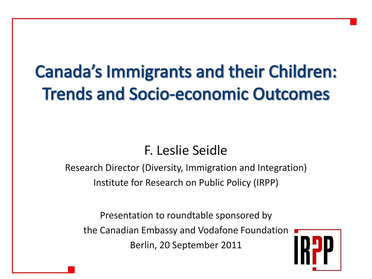# **Canada's Immigrants and their Children: Trends and Socio-economic Outcomes**

#### F. Leslie Seidle

Research Director (Diversity, Immigration and Integration) Institute for Research on Public Policy (IRPP)

Presentation to roundtable sponsored by the Canadian Embassy and Vodafone Foundation Berlin, 20 September 2011

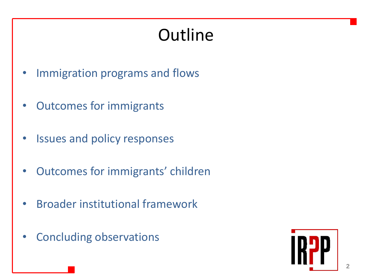# **Outline**

- Immigration programs and flows
- Outcomes for immigrants
- Issues and policy responses
- Outcomes for immigrants' children
- Broader institutional framework
- Concluding observations

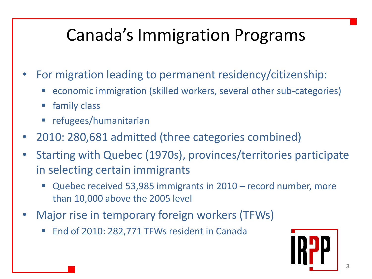## Canada's Immigration Programs

- For migration leading to permanent residency/citizenship:
	- economic immigration (skilled workers, several other sub-categories)
	- family class
	- refugees/humanitarian
- 2010: 280,681 admitted (three categories combined)
- Starting with Quebec (1970s), provinces/territories participate in selecting certain immigrants
	- Quebec received 53,985 immigrants in 2010 record number, more than 10,000 above the 2005 level
- Major rise in temporary foreign workers (TFWs)
	- End of 2010: 282,771 TFWs resident in Canada

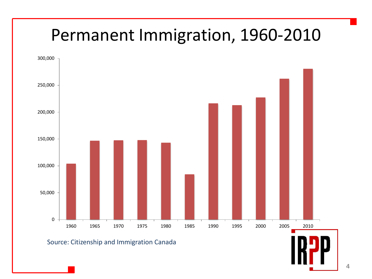#### Permanent Immigration, 1960-2010



#### Source: Citizenship and Immigration Canada

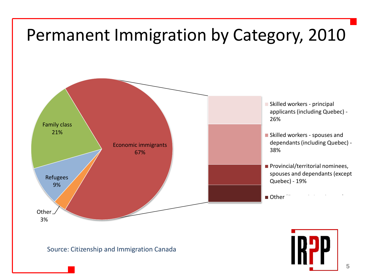

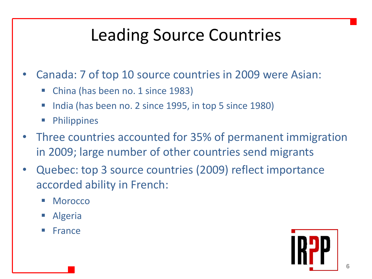# Leading Source Countries

- Canada: 7 of top 10 source countries in 2009 were Asian:
	- China (has been no. 1 since 1983)
	- India (has been no. 2 since 1995, in top 5 since 1980)
	- **Philippines**
- Three countries accounted for 35% of permanent immigration in 2009; large number of other countries send migrants
- Quebec: top 3 source countries (2009) reflect importance accorded ability in French:
	- Morocco
	- Algeria
	- France

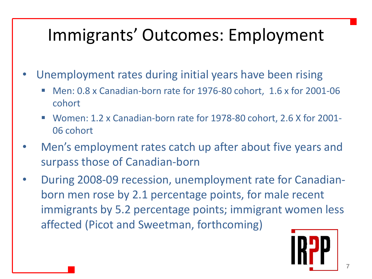## Immigrants' Outcomes: Employment

- Unemployment rates during initial years have been rising
	- Men: 0.8 x Canadian-born rate for 1976-80 cohort, 1.6 x for 2001-06 cohort
	- Women: 1.2 x Canadian-born rate for 1978-80 cohort, 2.6 X for 2001- 06 cohort
- Men's employment rates catch up after about five years and surpass those of Canadian-born
- During 2008-09 recession, unemployment rate for Canadianborn men rose by 2.1 percentage points, for male recent immigrants by 5.2 percentage points; immigrant women less affected (Picot and Sweetman, forthcoming)

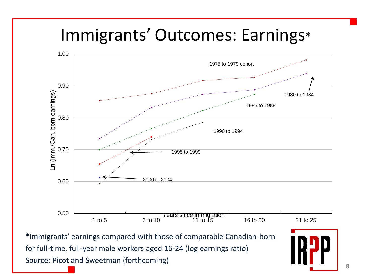#### Immigrants' Outcomes: Earnings\*



\*Immigrants' earnings compared with those of comparable Canadian-born for full-time, full-year male workers aged 16-24 (log earnings ratio) Source: Picot and Sweetman (forthcoming)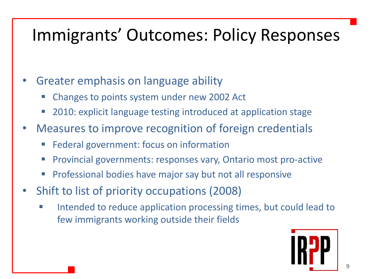#### Immigrants' Outcomes: Policy Responses

- Greater emphasis on language ability
	- Changes to points system under new 2002 Act
	- 2010: explicit language testing introduced at application stage
- Measures to improve recognition of foreign credentials
	- **Federal government: focus on information**
	- **Provincial governments: responses vary, Ontario most pro-active**
	- Professional bodies have major say but not all responsive
- Shift to list of priority occupations (2008)
	- Intended to reduce application processing times, but could lead to few immigrants working outside their fields

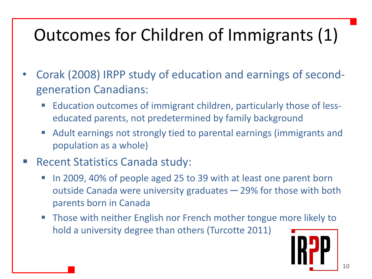# Outcomes for Children of Immigrants (1)

- Corak (2008) IRPP study of education and earnings of secondgeneration Canadians:
	- Education outcomes of immigrant children, particularly those of lesseducated parents, not predetermined by family background
	- Adult earnings not strongly tied to parental earnings (immigrants and population as a whole)
- Recent Statistics Canada study:
	- In 2009, 40% of people aged 25 to 39 with at least one parent born outside Canada were university graduates – 29% for those with both parents born in Canada
	- **Those with neither English nor French mother tongue more likely to** hold a university degree than others (Turcotte 2011)

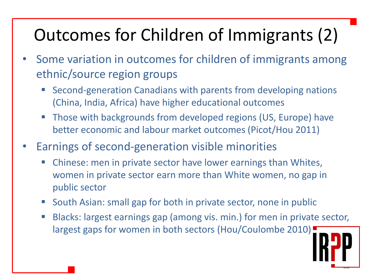# Outcomes for Children of Immigrants (2)

- Some variation in outcomes for children of immigrants among ethnic/source region groups
	- Second-generation Canadians with parents from developing nations (China, India, Africa) have higher educational outcomes
	- Those with backgrounds from developed regions (US, Europe) have better economic and labour market outcomes (Picot/Hou 2011)
- Earnings of second-generation visible minorities
	- Chinese: men in private sector have lower earnings than Whites, women in private sector earn more than White women, no gap in public sector
	- South Asian: small gap for both in private sector, none in public
	- Blacks: largest earnings gap (among vis. min.) for men in private sector, largest gaps for women in both sectors (Hou/Coulombe 2010)

**11**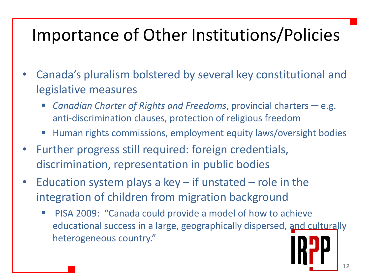## Importance of Other Institutions/Policies

- Canada's pluralism bolstered by several key constitutional and legislative measures
	- *Canadian Charter of Rights and Freedoms*, provincial charters ─ e.g. anti-discrimination clauses, protection of religious freedom
	- Human rights commissions, employment equity laws/oversight bodies
- Further progress still required: foreign credentials, discrimination, representation in public bodies
- Education system plays a key  $-$  if unstated  $-$  role in the integration of children from migration background
	- PISA 2009: "Canada could provide a model of how to achieve educational success in a large, geographically dispersed, and culturally heterogeneous country."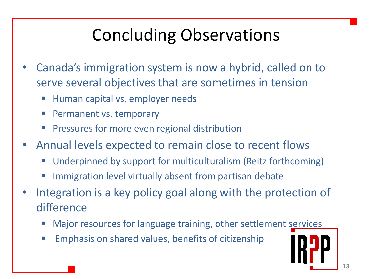# Concluding Observations

- Canada's immigration system is now a hybrid, called on to serve several objectives that are sometimes in tension
	- Human capital vs. employer needs
	- Permanent vs. temporary
	- Pressures for more even regional distribution
- Annual levels expected to remain close to recent flows
	- Underpinned by support for multiculturalism (Reitz forthcoming)
	- Immigration level virtually absent from partisan debate
- Integration is a key policy goal along with the protection of difference
	- Major resources for language training, other settlement services
	- **Emphasis on shared values, benefits of citizenship**